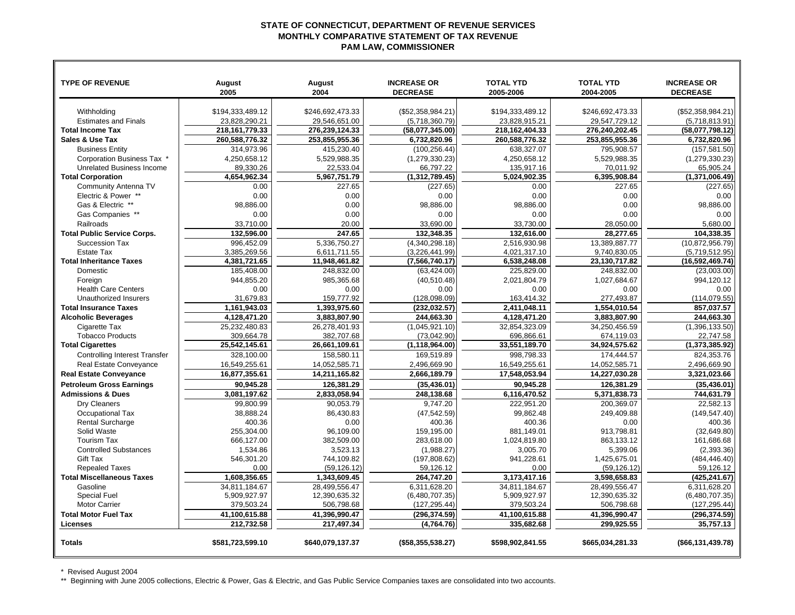## **STATE OF CONNECTICUT, DEPARTMENT OF REVENUE SERVICES MONTHLY COMPARATIVE STATEMENT OF TAX REVENUEPAM LAW, COMMISSIONER**

| <b>TYPE OF REVENUE</b>               | August           | <b>August</b>    | <b>INCREASE OR</b>   | <b>TOTAL YTD</b> | <b>TOTAL YTD</b> | <b>INCREASE OR</b>   |
|--------------------------------------|------------------|------------------|----------------------|------------------|------------------|----------------------|
|                                      | 2005             | 2004             | <b>DECREASE</b>      | 2005-2006        | 2004-2005        | <b>DECREASE</b>      |
|                                      |                  |                  |                      |                  |                  |                      |
| Withholding                          | \$194,333,489.12 | \$246,692,473.33 | (\$52,358,984.21)    | \$194,333,489.12 | \$246,692,473.33 | (\$52,358,984.21)    |
| <b>Estimates and Finals</b>          | 23,828,290.21    | 29,546,651.00    | (5,718,360.79)       | 23,828,915.21    | 29,547,729.12    | (5,718,813.91)       |
| <b>Total Income Tax</b>              | 218, 161, 779.33 | 276,239,124.33   | (58,077,345.00)      | 218,162,404.33   | 276,240,202.45   | (58,077,798.12)      |
| Sales & Use Tax                      | 260,588,776.32   | 253,855,955.36   | 6,732,820.96         | 260,588,776.32   | 253,855,955.36   | 6,732,820.96         |
| <b>Business Entity</b>               | 314.973.96       | 415,230.40       | (100, 256.44)        | 638,327.07       | 795.908.57       | (157, 581.50)        |
| Corporation Business Tax *           | 4,250,658.12     | 5,529,988.35     | (1,279,330.23)       | 4,250,658.12     | 5,529,988.35     | (1,279,330.23)       |
| <b>Unrelated Business Income</b>     | 89,330.26        | 22,533.04        | 66,797.22            | 135,917.16       | 70,011.92        | 65.905.24            |
| <b>Total Corporation</b>             | 4.654.962.34     | 5,967,751.79     | (1,312,789.45)       | 5.024.902.35     | 6,395,908.84     | (1,371,006.49)       |
| Community Antenna TV                 | 0.00             | 227.65           | (227.65)             | 0.00             | 227.65           | (227.65)             |
| Electric & Power **                  | 0.00             | 0.00             | 0.00                 | 0.00             | 0.00             | 0.00                 |
| Gas & Electric **                    | 98.886.00        | 0.00             | 98,886.00            | 98,886.00        | 0.00             | 98.886.00            |
| Gas Companies **                     | 0.00             | 0.00             | 0.00                 | 0.00             | 0.00             | 0.00                 |
| Railroads                            | 33,710.00        | 20.00            | 33,690.00            | 33,730.00        | 28,050.00        | 5,680.00             |
| <b>Total Public Service Corps.</b>   | 132,596.00       | 247.65           | 132,348.35           | 132,616.00       | 28.277.65        | 104.338.35           |
| Succession Tax                       | 996,452.09       | 5,336,750.27     | (4,340,298.18)       | 2,516,930.98     | 13,389,887.77    | (10, 872, 956.79)    |
| <b>Estate Tax</b>                    | 3,385,269.56     | 6,611,711.55     | (3,226,441.99)       | 4,021,317.10     | 9,740,830.05     | (5,719,512.95)       |
| <b>Total Inheritance Taxes</b>       | 4.381.721.65     | 11.948.461.82    | (7,566,740.17)       | 6.538.248.08     | 23,130,717.82    | (16.592, 469.74)     |
| Domestic                             | 185,408.00       | 248,832.00       | (63, 424.00)         | 225,829.00       | 248,832.00       | (23,003.00)          |
| Foreign                              | 944,855.20       | 985.365.68       | (40, 510.48)         | 2,021,804.79     | 1,027,684.67     | 994.120.12           |
| <b>Health Care Centers</b>           | 0.00             | 0.00             | 0.00                 | 0.00             | 0.00             | 0.00                 |
| Unauthorized Insurers                | 31,679.83        | 159,777.92       | (128, 098.09)        | 163,414.32       | 277,493.87       | (114, 079.55)        |
| <b>Total Insurance Taxes</b>         | 1.161.943.03     | 1.393.975.60     | (232.032.57)         | 2.411.048.11     | 1.554.010.54     | 857.037.57           |
| <b>Alcoholic Beverages</b>           | 4,128,471.20     | 3,883,807.90     | 244,663.30           | 4,128,471.20     | 3,883,807.90     | 244,663.30           |
| Cigarette Tax                        | 25,232,480.83    | 26,278,401.93    | (1,045,921.10)       | 32,854,323.09    | 34,250,456.59    | (1,396,133.50)       |
| <b>Tobacco Products</b>              | 309,664.78       | 382,707.68       | (73,042.90)          | 696,866.61       | 674,119.03       | 22,747.58            |
| <b>Total Cigarettes</b>              | 25,542,145.61    | 26,661,109.61    | (1, 118, 964.00)     | 33.551,189.70    | 34,924,575.62    | (1,373,385.92)       |
| <b>Controlling Interest Transfer</b> | 328,100.00       | 158,580.11       | 169,519.89           | 998,798.33       | 174,444.57       | 824,353.76           |
| Real Estate Conveyance               | 16,549,255.61    | 14,052,585.71    | 2,496,669.90         | 16,549,255.61    | 14,052,585.71    | 2,496,669.90         |
| <b>Real Estate Conveyance</b>        | 16,877,355.61    | 14,211,165.82    | 2,666,189.79         | 17,548,053.94    | 14,227,030.28    | 3,321,023.66         |
| <b>Petroleum Gross Earnings</b>      | 90,945.28        | 126,381.29       | (35, 436.01)         | 90,945.28        | 126,381.29       | (35, 436.01)         |
| <b>Admissions &amp; Dues</b>         | 3,081,197.62     | 2,833,058.94     | 248,138.68           | 6,116,470.52     | 5,371,838.73     | 744,631.79           |
| Dry Cleaners                         | 99,800.99        | 90,053.79        | 9,747.20             | 222,951.20       | 200,369.07       | 22.582.13            |
| Occupational Tax                     | 38,888.24        | 86,430.83        | (47, 542.59)         | 99,862.48        | 249,409.88       | (149, 547.40)        |
| <b>Rental Surcharge</b>              | 400.36           | 0.00             | 400.36               | 400.36           | 0.00             | 400.36               |
| Solid Waste                          | 255,304.00       | 96,109.00        | 159,195.00           | 881,149.01       | 913.798.81       | (32,649.80)          |
| <b>Tourism Tax</b>                   | 666.127.00       | 382.509.00       | 283.618.00           | 1,024,819.80     | 863.133.12       | 161.686.68           |
| <b>Controlled Substances</b>         | 1,534.86         | 3,523.13         | (1,988.27)           | 3,005.70         | 5,399.06         | (2,393.36)           |
| Gift Tax                             | 546,301.20       | 744.109.82       | (197, 808.62)        | 941,228.61       | 1,425,675.01     | (484, 446.40)        |
| <b>Repealed Taxes</b>                | 0.00             | (59, 126.12)     | 59,126.12            | 0.00             | (59, 126.12)     | 59,126.12            |
| <b>Total Miscellaneous Taxes</b>     | 1.608.356.65     | 1.343.609.45     | 264.747.20           | 3,173,417.16     | 3.598.658.83     | (425.241.67)         |
| Gasoline                             | 34.811.184.67    | 28.499.556.47    | 6.311.628.20         | 34.811.184.67    | 28.499.556.47    | 6.311.628.20         |
| <b>Special Fuel</b>                  | 5,909,927.97     | 12,390,635.32    | (6,480,707.35)       | 5,909,927.97     | 12,390,635.32    | (6,480,707.35)       |
| <b>Motor Carrier</b>                 | 379,503.24       | 506,798.68       | (127, 295.44)        | 379,503.24       | 506,798.68       | (127, 295.44)        |
| <b>Total Motor Fuel Tax</b>          | 41,100,615.88    | 41,396,990.47    | (296, 374.59)        | 41,100,615.88    | 41,396,990.47    | (296, 374.59)        |
| Licenses                             | 212,732.58       | 217,497.34       | (4,764.76)           | 335,682.68       | 299,925.55       | 35,757.13            |
|                                      |                  |                  |                      |                  |                  |                      |
| <b>Totals</b>                        | \$581,723,599.10 | \$640,079,137.37 | $($ \$58,355,538.27) | \$598,902,841.55 | \$665,034,281.33 | ( \$66, 131, 439.78) |

\* Revised August 2004

 $\blacksquare$ 

\*\* Beginning with June 2005 collections, Electric & Power, Gas & Electric, and Gas Public Service Companies taxes are consolidated into two accounts.